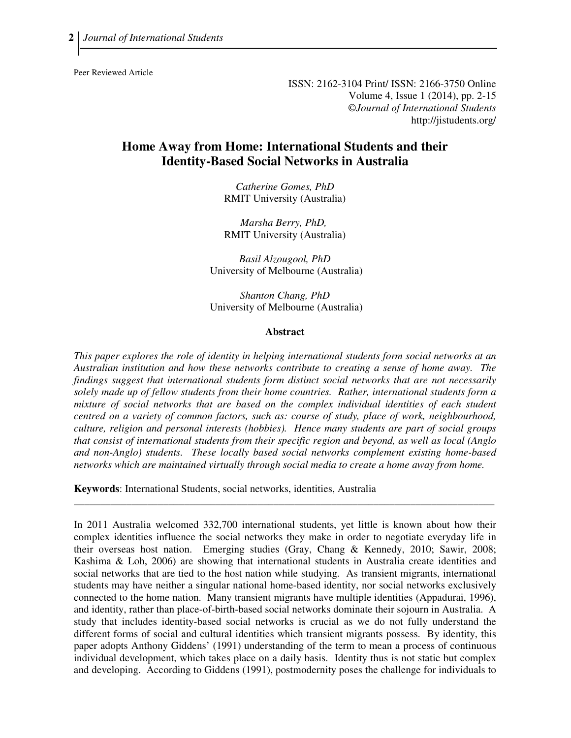Peer Reviewed Article

ISSN: 2162-3104 Print/ ISSN: 2166-3750 Online Volume 4, Issue 1 (2014), pp. 2-15 ©*Journal of International Students* http://jistudents.org/

# **Home Away from Home: International Students and their Identity-Based Social Networks in Australia**

*Catherine Gomes, PhD*  RMIT University (Australia)

*Marsha Berry, PhD,*  RMIT University (Australia)

*Basil Alzougool, PhD*  University of Melbourne (Australia)

*Shanton Chang, PhD*  University of Melbourne (Australia)

#### **Abstract**

*This paper explores the role of identity in helping international students form social networks at an Australian institution and how these networks contribute to creating a sense of home away. The findings suggest that international students form distinct social networks that are not necessarily solely made up of fellow students from their home countries. Rather, international students form a mixture of social networks that are based on the complex individual identities of each student centred on a variety of common factors, such as: course of study, place of work, neighbourhood, culture, religion and personal interests (hobbies). Hence many students are part of social groups that consist of international students from their specific region and beyond, as well as local (Anglo and non-Anglo) students. These locally based social networks complement existing home-based networks which are maintained virtually through social media to create a home away from home.* 

\_\_\_\_\_\_\_\_\_\_\_\_\_\_\_\_\_\_\_\_\_\_\_\_\_\_\_\_\_\_\_\_\_\_\_\_\_\_\_\_\_\_\_\_\_\_\_\_\_\_\_\_\_\_\_\_\_\_\_\_\_\_\_\_\_\_\_\_\_\_\_\_\_\_\_\_\_\_\_\_

**Keywords**: International Students, social networks, identities, Australia

In 2011 Australia welcomed 332,700 international students, yet little is known about how their complex identities influence the social networks they make in order to negotiate everyday life in their overseas host nation. Emerging studies (Gray, Chang & Kennedy, 2010; Sawir, 2008; Kashima & Loh, 2006) are showing that international students in Australia create identities and social networks that are tied to the host nation while studying. As transient migrants, international students may have neither a singular national home-based identity, nor social networks exclusively connected to the home nation. Many transient migrants have multiple identities (Appadurai, 1996), and identity, rather than place-of-birth-based social networks dominate their sojourn in Australia. A study that includes identity-based social networks is crucial as we do not fully understand the different forms of social and cultural identities which transient migrants possess. By identity, this paper adopts Anthony Giddens' (1991) understanding of the term to mean a process of continuous individual development, which takes place on a daily basis. Identity thus is not static but complex and developing. According to Giddens (1991), postmodernity poses the challenge for individuals to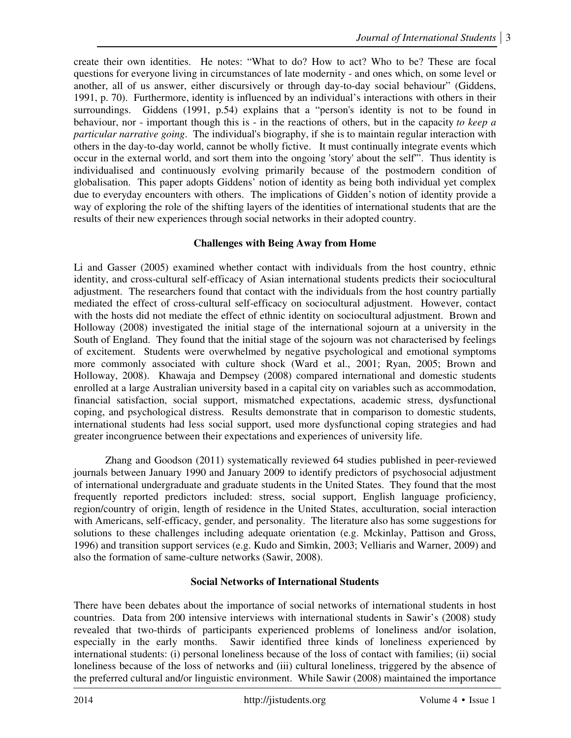create their own identities. He notes: "What to do? How to act? Who to be? These are focal questions for everyone living in circumstances of late modernity - and ones which, on some level or another, all of us answer, either discursively or through day-to-day social behaviour" (Giddens, 1991, p. 70). Furthermore, identity is influenced by an individual's interactions with others in their surroundings. Giddens (1991, p.54) explains that a "person's identity is not to be found in behaviour, nor - important though this is - in the reactions of others, but in the capacity *to keep a particular narrative going*. The individual's biography, if she is to maintain regular interaction with others in the day-to-day world, cannot be wholly fictive. It must continually integrate events which occur in the external world, and sort them into the ongoing 'story' about the self'". Thus identity is individualised and continuously evolving primarily because of the postmodern condition of globalisation. This paper adopts Giddens' notion of identity as being both individual yet complex due to everyday encounters with others. The implications of Gidden's notion of identity provide a way of exploring the role of the shifting layers of the identities of international students that are the results of their new experiences through social networks in their adopted country.

# **Challenges with Being Away from Home**

Li and Gasser (2005) examined whether contact with individuals from the host country, ethnic identity, and cross-cultural self-efficacy of Asian international students predicts their sociocultural adjustment. The researchers found that contact with the individuals from the host country partially mediated the effect of cross-cultural self-efficacy on sociocultural adjustment. However, contact with the hosts did not mediate the effect of ethnic identity on sociocultural adjustment. Brown and Holloway (2008) investigated the initial stage of the international sojourn at a university in the South of England. They found that the initial stage of the sojourn was not characterised by feelings of excitement. Students were overwhelmed by negative psychological and emotional symptoms more commonly associated with culture shock (Ward et al., 2001; Ryan, 2005; Brown and Holloway, 2008). Khawaja and Dempsey (2008) compared international and domestic students enrolled at a large Australian university based in a capital city on variables such as accommodation, financial satisfaction, social support, mismatched expectations, academic stress, dysfunctional coping, and psychological distress. Results demonstrate that in comparison to domestic students, international students had less social support, used more dysfunctional coping strategies and had greater incongruence between their expectations and experiences of university life.

Zhang and Goodson (2011) systematically reviewed 64 studies published in peer-reviewed journals between January 1990 and January 2009 to identify predictors of psychosocial adjustment of international undergraduate and graduate students in the United States. They found that the most frequently reported predictors included: stress, social support, English language proficiency, region/country of origin, length of residence in the United States, acculturation, social interaction with Americans, self-efficacy, gender, and personality. The literature also has some suggestions for solutions to these challenges including adequate orientation (e.g. Mckinlay, Pattison and Gross, 1996) and transition support services (e.g. Kudo and Simkin, 2003; Velliaris and Warner, 2009) and also the formation of same-culture networks (Sawir, 2008).

# **Social Networks of International Students**

There have been debates about the importance of social networks of international students in host countries. Data from 200 intensive interviews with international students in Sawir's (2008) study revealed that two-thirds of participants experienced problems of loneliness and/or isolation, especially in the early months. Sawir identified three kinds of loneliness experienced by international students: (i) personal loneliness because of the loss of contact with families; (ii) social loneliness because of the loss of networks and (iii) cultural loneliness, triggered by the absence of the preferred cultural and/or linguistic environment. While Sawir (2008) maintained the importance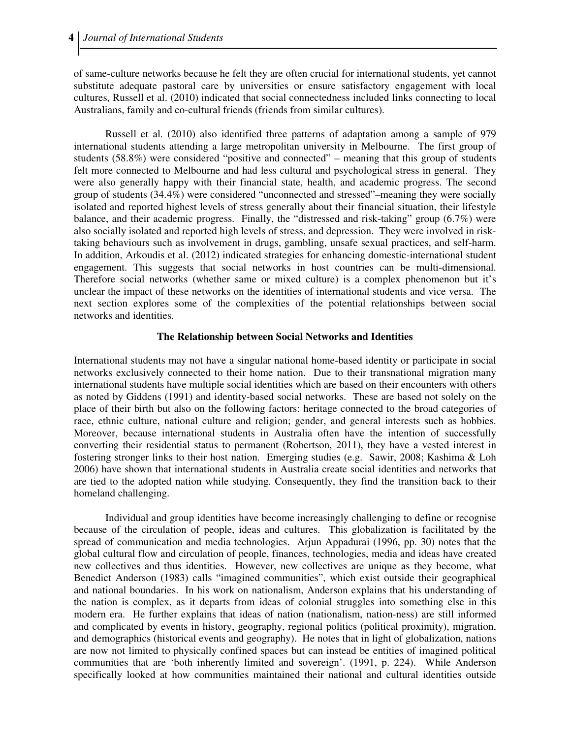of same-culture networks because he felt they are often crucial for international students, yet cannot substitute adequate pastoral care by universities or ensure satisfactory engagement with local cultures, Russell et al. (2010) indicated that social connectedness included links connecting to local Australians, family and co-cultural friends (friends from similar cultures).

Russell et al. (2010) also identified three patterns of adaptation among a sample of 979 international students attending a large metropolitan university in Melbourne. The first group of students (58.8%) were considered "positive and connected" – meaning that this group of students felt more connected to Melbourne and had less cultural and psychological stress in general. They were also generally happy with their financial state, health, and academic progress. The second group of students (34.4%) were considered "unconnected and stressed"–meaning they were socially isolated and reported highest levels of stress generally about their financial situation, their lifestyle balance, and their academic progress. Finally, the "distressed and risk-taking" group (6.7%) were also socially isolated and reported high levels of stress, and depression. They were involved in risktaking behaviours such as involvement in drugs, gambling, unsafe sexual practices, and self-harm. In addition, Arkoudis et al. (2012) indicated strategies for enhancing domestic-international student engagement. This suggests that social networks in host countries can be multi-dimensional. Therefore social networks (whether same or mixed culture) is a complex phenomenon but it's unclear the impact of these networks on the identities of international students and vice versa. The next section explores some of the complexities of the potential relationships between social networks and identities.

#### **The Relationship between Social Networks and Identities**

International students may not have a singular national home-based identity or participate in social networks exclusively connected to their home nation. Due to their transnational migration many international students have multiple social identities which are based on their encounters with others as noted by Giddens (1991) and identity-based social networks. These are based not solely on the place of their birth but also on the following factors: heritage connected to the broad categories of race, ethnic culture, national culture and religion; gender, and general interests such as hobbies. Moreover, because international students in Australia often have the intention of successfully converting their residential status to permanent (Robertson, 2011), they have a vested interest in fostering stronger links to their host nation. Emerging studies (e.g. Sawir, 2008; Kashima & Loh 2006) have shown that international students in Australia create social identities and networks that are tied to the adopted nation while studying. Consequently, they find the transition back to their homeland challenging.

Individual and group identities have become increasingly challenging to define or recognise because of the circulation of people, ideas and cultures. This globalization is facilitated by the spread of communication and media technologies. Arjun Appadurai (1996, pp. 30) notes that the global cultural flow and circulation of people, finances, technologies, media and ideas have created new collectives and thus identities. However, new collectives are unique as they become, what Benedict Anderson (1983) calls "imagined communities", which exist outside their geographical and national boundaries. In his work on nationalism, Anderson explains that his understanding of the nation is complex, as it departs from ideas of colonial struggles into something else in this modern era. He further explains that ideas of nation (nationalism, nation-ness) are still informed and complicated by events in history, geography, regional politics (political proximity), migration, and demographics (historical events and geography). He notes that in light of globalization, nations are now not limited to physically confined spaces but can instead be entities of imagined political communities that are 'both inherently limited and sovereign'. (1991, p. 224). While Anderson specifically looked at how communities maintained their national and cultural identities outside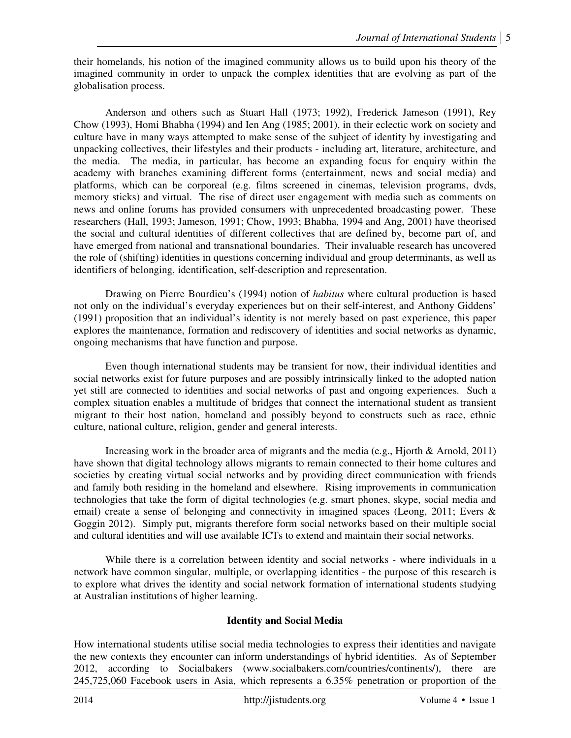their homelands, his notion of the imagined community allows us to build upon his theory of the imagined community in order to unpack the complex identities that are evolving as part of the globalisation process.

Anderson and others such as Stuart Hall (1973; 1992), Frederick Jameson (1991), Rey Chow (1993), Homi Bhabha (1994) and Ien Ang (1985; 2001), in their eclectic work on society and culture have in many ways attempted to make sense of the subject of identity by investigating and unpacking collectives, their lifestyles and their products - including art, literature, architecture, and the media. The media, in particular, has become an expanding focus for enquiry within the academy with branches examining different forms (entertainment, news and social media) and platforms, which can be corporeal (e.g. films screened in cinemas, television programs, dvds, memory sticks) and virtual. The rise of direct user engagement with media such as comments on news and online forums has provided consumers with unprecedented broadcasting power. These researchers (Hall, 1993; Jameson, 1991; Chow, 1993; Bhabha, 1994 and Ang, 2001) have theorised the social and cultural identities of different collectives that are defined by, become part of, and have emerged from national and transnational boundaries. Their invaluable research has uncovered the role of (shifting) identities in questions concerning individual and group determinants, as well as identifiers of belonging, identification, self-description and representation.

Drawing on Pierre Bourdieu's (1994) notion of *habitus* where cultural production is based not only on the individual's everyday experiences but on their self-interest, and Anthony Giddens' (1991) proposition that an individual's identity is not merely based on past experience, this paper explores the maintenance, formation and rediscovery of identities and social networks as dynamic, ongoing mechanisms that have function and purpose.

Even though international students may be transient for now, their individual identities and social networks exist for future purposes and are possibly intrinsically linked to the adopted nation yet still are connected to identities and social networks of past and ongoing experiences. Such a complex situation enables a multitude of bridges that connect the international student as transient migrant to their host nation, homeland and possibly beyond to constructs such as race, ethnic culture, national culture, religion, gender and general interests.

Increasing work in the broader area of migrants and the media (e.g., Hjorth & Arnold, 2011) have shown that digital technology allows migrants to remain connected to their home cultures and societies by creating virtual social networks and by providing direct communication with friends and family both residing in the homeland and elsewhere. Rising improvements in communication technologies that take the form of digital technologies (e.g. smart phones, skype, social media and email) create a sense of belonging and connectivity in imagined spaces (Leong, 2011; Evers & Goggin 2012). Simply put, migrants therefore form social networks based on their multiple social and cultural identities and will use available ICTs to extend and maintain their social networks.

While there is a correlation between identity and social networks - where individuals in a network have common singular, multiple, or overlapping identities - the purpose of this research is to explore what drives the identity and social network formation of international students studying at Australian institutions of higher learning.

# **Identity and Social Media**

How international students utilise social media technologies to express their identities and navigate the new contexts they encounter can inform understandings of hybrid identities. As of September 2012, according to Socialbakers (www.socialbakers.com/countries/continents/), there are 245,725,060 Facebook users in Asia, which represents a 6.35% penetration or proportion of the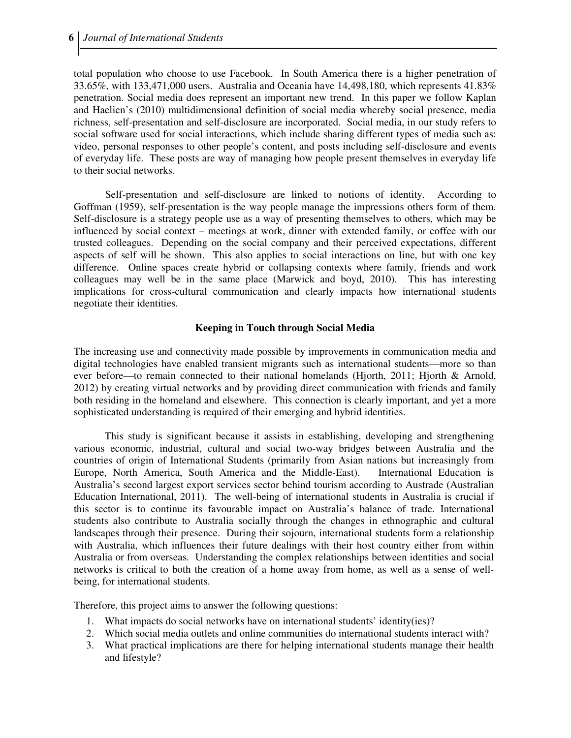total population who choose to use Facebook. In South America there is a higher penetration of 33.65%, with 133,471,000 users. Australia and Oceania have 14,498,180, which represents 41.83% penetration. Social media does represent an important new trend. In this paper we follow Kaplan and Haelien's (2010) multidimensional definition of social media whereby social presence, media richness, self-presentation and self-disclosure are incorporated. Social media, in our study refers to social software used for social interactions, which include sharing different types of media such as: video, personal responses to other people's content, and posts including self-disclosure and events of everyday life. These posts are way of managing how people present themselves in everyday life to their social networks.

Self-presentation and self-disclosure are linked to notions of identity. According to Goffman (1959), self-presentation is the way people manage the impressions others form of them. Self-disclosure is a strategy people use as a way of presenting themselves to others, which may be influenced by social context – meetings at work, dinner with extended family, or coffee with our trusted colleagues. Depending on the social company and their perceived expectations, different aspects of self will be shown. This also applies to social interactions on line, but with one key difference. Online spaces create hybrid or collapsing contexts where family, friends and work colleagues may well be in the same place (Marwick and boyd, 2010). This has interesting implications for cross-cultural communication and clearly impacts how international students negotiate their identities.

# **Keeping in Touch through Social Media**

The increasing use and connectivity made possible by improvements in communication media and digital technologies have enabled transient migrants such as international students—more so than ever before—to remain connected to their national homelands (Hjorth, 2011; Hjorth & Arnold, 2012) by creating virtual networks and by providing direct communication with friends and family both residing in the homeland and elsewhere. This connection is clearly important, and yet a more sophisticated understanding is required of their emerging and hybrid identities.

This study is significant because it assists in establishing, developing and strengthening various economic, industrial, cultural and social two-way bridges between Australia and the countries of origin of International Students (primarily from Asian nations but increasingly from Europe, North America, South America and the Middle-East). International Education is Australia's second largest export services sector behind tourism according to Austrade (Australian Education International, 2011). The well-being of international students in Australia is crucial if this sector is to continue its favourable impact on Australia's balance of trade. International students also contribute to Australia socially through the changes in ethnographic and cultural landscapes through their presence. During their sojourn, international students form a relationship with Australia, which influences their future dealings with their host country either from within Australia or from overseas. Understanding the complex relationships between identities and social networks is critical to both the creation of a home away from home, as well as a sense of wellbeing, for international students.

Therefore, this project aims to answer the following questions:

- 1. What impacts do social networks have on international students' identity(ies)?
- 2. Which social media outlets and online communities do international students interact with?
- 3. What practical implications are there for helping international students manage their health and lifestyle?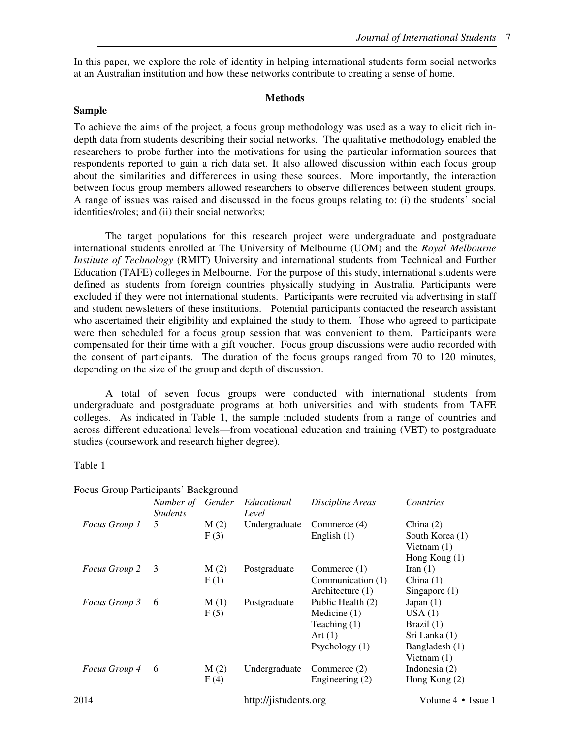In this paper, we explore the role of identity in helping international students form social networks at an Australian institution and how these networks contribute to creating a sense of home.

## **Methods**

### **Sample**

To achieve the aims of the project, a focus group methodology was used as a way to elicit rich indepth data from students describing their social networks. The qualitative methodology enabled the researchers to probe further into the motivations for using the particular information sources that respondents reported to gain a rich data set. It also allowed discussion within each focus group about the similarities and differences in using these sources. More importantly, the interaction between focus group members allowed researchers to observe differences between student groups. A range of issues was raised and discussed in the focus groups relating to: (i) the students' social identities/roles; and (ii) their social networks;

The target populations for this research project were undergraduate and postgraduate international students enrolled at The University of Melbourne (UOM) and the *Royal Melbourne Institute of Technology* (RMIT) University and international students from Technical and Further Education (TAFE) colleges in Melbourne. For the purpose of this study, international students were defined as students from foreign countries physically studying in Australia. Participants were excluded if they were not international students. Participants were recruited via advertising in staff and student newsletters of these institutions. Potential participants contacted the research assistant who ascertained their eligibility and explained the study to them. Those who agreed to participate were then scheduled for a focus group session that was convenient to them. Participants were compensated for their time with a gift voucher. Focus group discussions were audio recorded with the consent of participants. The duration of the focus groups ranged from 70 to 120 minutes, depending on the size of the group and depth of discussion.

A total of seven focus groups were conducted with international students from undergraduate and postgraduate programs at both universities and with students from TAFE colleges. As indicated in Table 1, the sample included students from a range of countries and across different educational levels—from vocational education and training (VET) to postgraduate studies (coursework and research higher degree).

Table 1

|                      | Number of<br><b>Students</b> | Gender       | Educational<br>Level | Discipline Areas                                                                       | Countries                                                                                 |
|----------------------|------------------------------|--------------|----------------------|----------------------------------------------------------------------------------------|-------------------------------------------------------------------------------------------|
| Focus Group 1        | 5                            | M(2)<br>F(3) | Undergraduate        | Commerce (4)<br>English $(1)$                                                          | China $(2)$<br>South Korea (1)<br>Vietnam $(1)$<br>Hong Kong $(1)$                        |
| <i>Focus Group 2</i> | - 3                          | M(2)<br>F(1) | Postgraduate         | Commerce $(1)$<br>Communication (1)<br>Architecture (1)                                | Iran $(1)$<br>China $(1)$<br>Singapore $(1)$                                              |
| Focus Group 3        | 6                            | M(1)<br>F(5) | Postgraduate         | Public Health (2)<br>Medicine $(1)$<br>Teaching $(1)$<br>Art $(1)$<br>Psychology $(1)$ | Japan $(1)$<br>USA(1)<br>Brazil $(1)$<br>Sri Lanka (1)<br>Bangladesh (1)<br>Vietnam $(1)$ |
| Focus Group 4        | 6                            | M(2)<br>F(4) | Undergraduate        | Commerce (2)<br>Engineering (2)                                                        | Indonesia $(2)$<br>Hong Kong $(2)$                                                        |

## Focus Group Participants' Background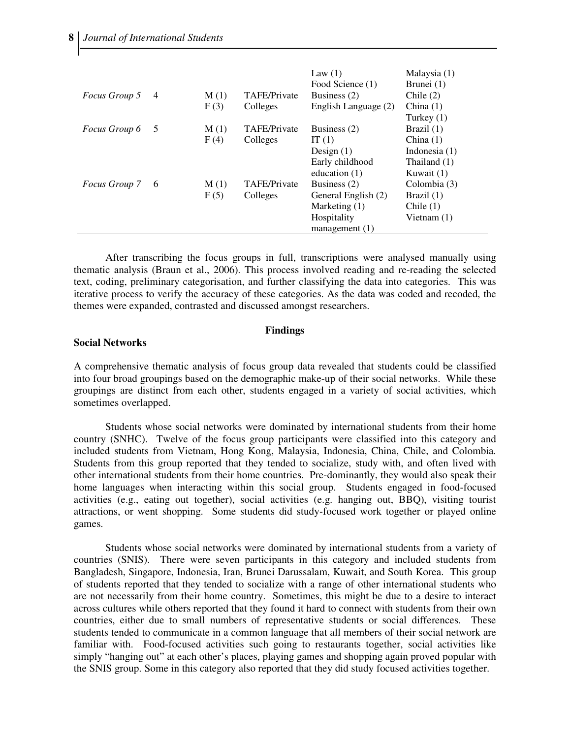| <i>Focus Group 5</i> | $\overline{4}$ | M(1) | <b>TAFE/Private</b> | Law $(1)$<br>Food Science (1)<br>Business $(2)$ | Malaysia (1)<br>Brunei (1)<br>Chile $(2)$ |
|----------------------|----------------|------|---------------------|-------------------------------------------------|-------------------------------------------|
|                      |                | F(3) | Colleges            | English Language (2)                            | China $(1)$<br>Turkey $(1)$               |
| <i>Focus Group 6</i> | - 5            | M(1) | <b>TAFE/Private</b> | Business $(2)$                                  | Brazil $(1)$                              |
|                      |                | F(4) | Colleges            | IT $(1)$                                        | China $(1)$                               |
|                      |                |      |                     | Design $(1)$                                    | Indonesia $(1)$                           |
|                      |                |      |                     | Early childhood                                 | Thailand (1)                              |
|                      |                |      |                     | education $(1)$                                 | Kuwait (1)                                |
| <i>Focus Group</i> 7 | -6             | M(1) | <b>TAFE/Private</b> | Business $(2)$                                  | Colombia (3)                              |
|                      |                | F(5) | Colleges            | General English (2)                             | Brazil $(1)$                              |
|                      |                |      |                     | Marketing $(1)$                                 | Chile $(1)$                               |
|                      |                |      |                     | Hospitality                                     | Vietnam $(1)$                             |
|                      |                |      |                     | $m$ anagement $(1)$                             |                                           |

After transcribing the focus groups in full, transcriptions were analysed manually using thematic analysis (Braun et al., 2006). This process involved reading and re-reading the selected text, coding, preliminary categorisation, and further classifying the data into categories. This was iterative process to verify the accuracy of these categories. As the data was coded and recoded, the themes were expanded, contrasted and discussed amongst researchers.

#### **Findings**

#### **Social Networks**

A comprehensive thematic analysis of focus group data revealed that students could be classified into four broad groupings based on the demographic make-up of their social networks. While these groupings are distinct from each other, students engaged in a variety of social activities, which sometimes overlapped.

Students whose social networks were dominated by international students from their home country (SNHC). Twelve of the focus group participants were classified into this category and included students from Vietnam, Hong Kong, Malaysia, Indonesia, China, Chile, and Colombia. Students from this group reported that they tended to socialize, study with, and often lived with other international students from their home countries. Pre-dominantly, they would also speak their home languages when interacting within this social group. Students engaged in food-focused activities (e.g., eating out together), social activities (e.g. hanging out, BBQ), visiting tourist attractions, or went shopping. Some students did study-focused work together or played online games.

Students whose social networks were dominated by international students from a variety of countries (SNIS). There were seven participants in this category and included students from Bangladesh, Singapore, Indonesia, Iran, Brunei Darussalam, Kuwait, and South Korea. This group of students reported that they tended to socialize with a range of other international students who are not necessarily from their home country. Sometimes, this might be due to a desire to interact across cultures while others reported that they found it hard to connect with students from their own countries, either due to small numbers of representative students or social differences. These students tended to communicate in a common language that all members of their social network are familiar with. Food-focused activities such going to restaurants together, social activities like simply "hanging out" at each other's places, playing games and shopping again proved popular with the SNIS group. Some in this category also reported that they did study focused activities together.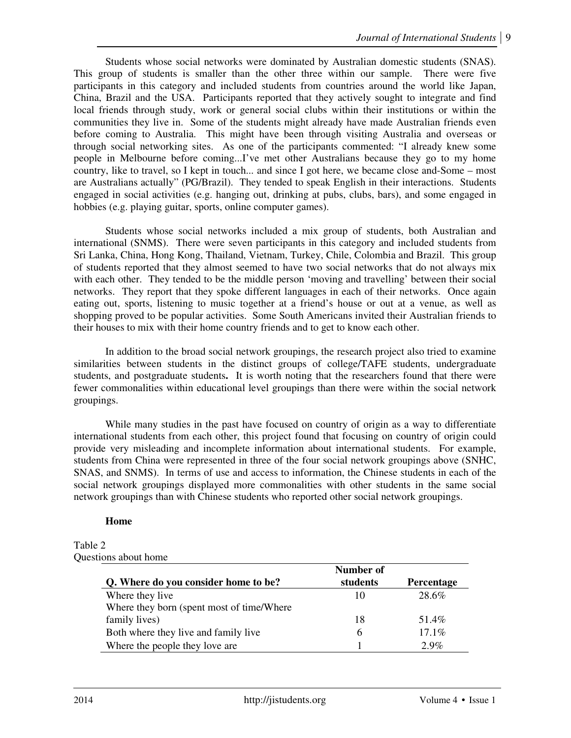Students whose social networks were dominated by Australian domestic students (SNAS). This group of students is smaller than the other three within our sample. There were five participants in this category and included students from countries around the world like Japan, China, Brazil and the USA. Participants reported that they actively sought to integrate and find local friends through study, work or general social clubs within their institutions or within the communities they live in. Some of the students might already have made Australian friends even before coming to Australia. This might have been through visiting Australia and overseas or through social networking sites. As one of the participants commented: "I already knew some people in Melbourne before coming...I've met other Australians because they go to my home country, like to travel, so I kept in touch... and since I got here, we became close and-Some – most are Australians actually" (PG/Brazil). They tended to speak English in their interactions. Students engaged in social activities (e.g. hanging out, drinking at pubs, clubs, bars), and some engaged in hobbies (e.g. playing guitar, sports, online computer games).

Students whose social networks included a mix group of students, both Australian and international (SNMS). There were seven participants in this category and included students from Sri Lanka, China, Hong Kong, Thailand, Vietnam, Turkey, Chile, Colombia and Brazil. This group of students reported that they almost seemed to have two social networks that do not always mix with each other. They tended to be the middle person 'moving and travelling' between their social networks. They report that they spoke different languages in each of their networks. Once again eating out, sports, listening to music together at a friend's house or out at a venue, as well as shopping proved to be popular activities. Some South Americans invited their Australian friends to their houses to mix with their home country friends and to get to know each other.

In addition to the broad social network groupings, the research project also tried to examine similarities between students in the distinct groups of college/TAFE students, undergraduate students, and postgraduate students**.** It is worth noting that the researchers found that there were fewer commonalities within educational level groupings than there were within the social network groupings.

While many studies in the past have focused on country of origin as a way to differentiate international students from each other, this project found that focusing on country of origin could provide very misleading and incomplete information about international students. For example, students from China were represented in three of the four social network groupings above (SNHC, SNAS, and SNMS). In terms of use and access to information, the Chinese students in each of the social network groupings displayed more commonalities with other students in the same social network groupings than with Chinese students who reported other social network groupings.

## **Home**

#### Table 2 Questions about home

|                                            | Number of |            |
|--------------------------------------------|-----------|------------|
| Q. Where do you consider home to be?       | students  | Percentage |
| Where they live                            | 10        | 28.6%      |
| Where they born (spent most of time/Where) |           |            |
| family lives)                              | 18        | 51.4%      |
| Both where they live and family live       | 6         | 17.1%      |
| Where the people they love are             |           | $2.9\%$    |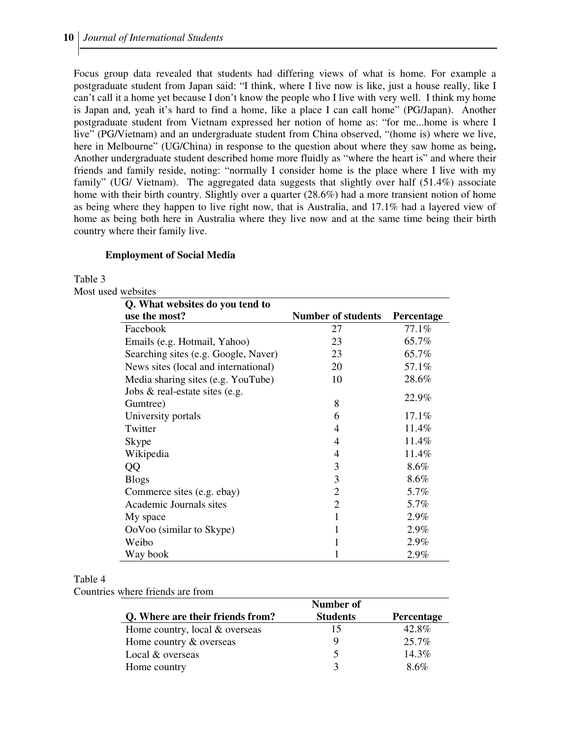Focus group data revealed that students had differing views of what is home. For example a postgraduate student from Japan said: "I think, where I live now is like, just a house really, like I can't call it a home yet because I don't know the people who I live with very well. I think my home is Japan and, yeah it's hard to find a home, like a place I can call home" (PG/Japan). Another postgraduate student from Vietnam expressed her notion of home as: "for me...home is where I live" (PG/Vietnam) and an undergraduate student from China observed, "(home is) where we live, here in Melbourne" (UG/China) in response to the question about where they saw home as being**.** Another undergraduate student described home more fluidly as "where the heart is" and where their friends and family reside, noting: "normally I consider home is the place where I live with my family" (UG/ Vietnam). The aggregated data suggests that slightly over half (51.4%) associate home with their birth country. Slightly over a quarter (28.6%) had a more transient notion of home as being where they happen to live right now, that is Australia, and 17.1% had a layered view of home as being both here in Australia where they live now and at the same time being their birth country where their family live.

## **Employment of Social Media**

Table 3

Most used websites

| Q. What websites do you tend to      |                           |                   |
|--------------------------------------|---------------------------|-------------------|
| use the most?                        | <b>Number of students</b> | <b>Percentage</b> |
| Facebook                             | 27                        | 77.1%             |
| Emails (e.g. Hotmail, Yahoo)         | 23                        | 65.7%             |
| Searching sites (e.g. Google, Naver) | 23                        | 65.7%             |
| News sites (local and international) | 20                        | 57.1%             |
| Media sharing sites (e.g. YouTube)   | 10                        | 28.6%             |
| Jobs & real-estate sites (e.g.       |                           |                   |
| Gumtree)                             | 8                         | 22.9%             |
| University portals                   | 6                         | 17.1%             |
| Twitter                              | 4                         | 11.4%             |
| Skype                                | 4                         | 11.4%             |
| Wikipedia                            | 4                         | 11.4%             |
| QQ                                   | 3                         | 8.6%              |
| <b>Blogs</b>                         | 3                         | 8.6%              |
| Commerce sites (e.g. ebay)           | $\overline{2}$            | 5.7%              |
| Academic Journals sites              | $\overline{2}$            | 5.7%              |
| My space                             | 1                         | 2.9%              |
| OoVoo (similar to Skype)             | 1                         | 2.9%              |
| Weibo                                |                           | 2.9%              |
| Way book                             |                           | 2.9%              |

#### Table 4

Countries where friends are from

|                                  | Number of       |            |
|----------------------------------|-----------------|------------|
| Q. Where are their friends from? | <b>Students</b> | Percentage |
| Home country, local & overseas   | 15              | 42.8%      |
| Home country & overseas          | Q               | $25.7\%$   |
| Local & overseas                 |                 | $14.3\%$   |
| Home country                     |                 | 8.6%       |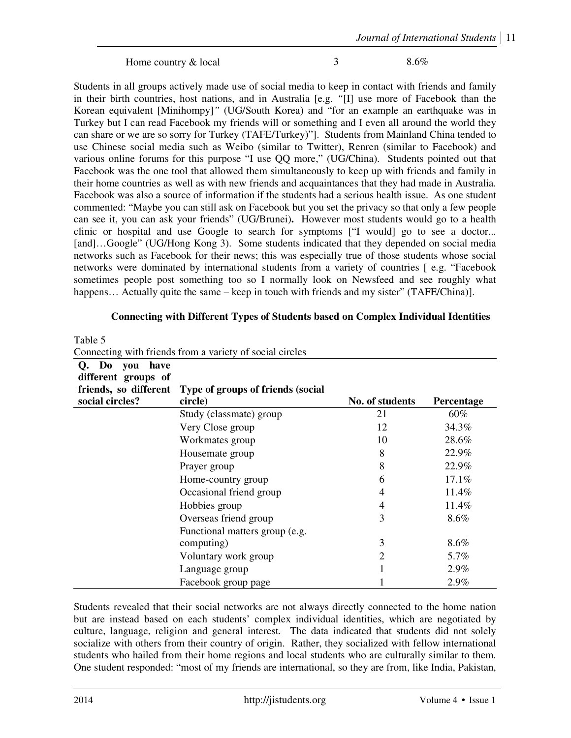Home country & local 3 8.6%

Students in all groups actively made use of social media to keep in contact with friends and family in their birth countries, host nations, and in Australia [e.g. *"*[I] use more of Facebook than the Korean equivalent [Minihompy]*"* (UG/South Korea) and "for an example an earthquake was in Turkey but I can read Facebook my friends will or something and I even all around the world they can share or we are so sorry for Turkey (TAFE/Turkey)"]. Students from Mainland China tended to use Chinese social media such as Weibo (similar to Twitter), Renren (similar to Facebook) and various online forums for this purpose "I use QQ more," (UG/China). Students pointed out that Facebook was the one tool that allowed them simultaneously to keep up with friends and family in their home countries as well as with new friends and acquaintances that they had made in Australia. Facebook was also a source of information if the students had a serious health issue. As one student commented: "Maybe you can still ask on Facebook but you set the privacy so that only a few people can see it, you can ask your friends" (UG/Brunei)**.** However most students would go to a health clinic or hospital and use Google to search for symptoms ["I would] go to see a doctor... [and]…Google" (UG/Hong Kong 3). Some students indicated that they depended on social media networks such as Facebook for their news; this was especially true of those students whose social networks were dominated by international students from a variety of countries [ e.g. "Facebook sometimes people post something too so I normally look on Newsfeed and see roughly what happens... Actually quite the same – keep in touch with friends and my sister" (TAFE/China)].

# **Connecting with Different Types of Students based on Complex Individual Identities**

| 1 able 5                                    |                                                          |                 |            |
|---------------------------------------------|----------------------------------------------------------|-----------------|------------|
|                                             | Connecting with friends from a variety of social circles |                 |            |
| Do you<br>Q.<br>have<br>different groups of |                                                          |                 |            |
| friends, so different<br>social circles?    | Type of groups of friends (social<br>circle)             | No. of students | Percentage |
|                                             | Study (classmate) group                                  | 21              | 60%        |
|                                             | Very Close group                                         | 12              | 34.3%      |
|                                             | Workmates group                                          | 10              | 28.6%      |
|                                             | Housemate group                                          | 8               | 22.9%      |
|                                             | Prayer group                                             | 8               | 22.9%      |
|                                             | Home-country group                                       | 6               | 17.1%      |
|                                             | Occasional friend group                                  | 4               | 11.4%      |
|                                             | Hobbies group                                            | 4               | 11.4%      |
|                                             | Overseas friend group                                    | 3               | 8.6%       |
|                                             | Functional matters group (e.g.                           |                 |            |
|                                             | computing)                                               | 3               | 8.6%       |
|                                             | Voluntary work group                                     | 2               | 5.7%       |
|                                             | Language group                                           |                 | 2.9%       |
|                                             | Facebook group page                                      |                 | 2.9%       |

Students revealed that their social networks are not always directly connected to the home nation but are instead based on each students' complex individual identities, which are negotiated by culture, language, religion and general interest. The data indicated that students did not solely socialize with others from their country of origin. Rather, they socialized with fellow international students who hailed from their home regions and local students who are culturally similar to them. One student responded: "most of my friends are international, so they are from, like India, Pakistan,

 $T_1$   $T_2$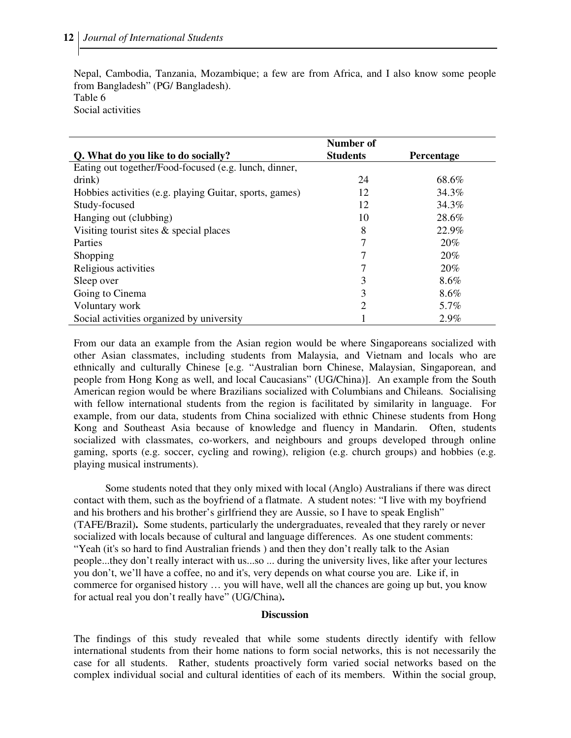Nepal, Cambodia, Tanzania, Mozambique; a few are from Africa, and I also know some people from Bangladesh" (PG/ Bangladesh). Table 6

Social activities

|                                                         | Number of       |                   |
|---------------------------------------------------------|-----------------|-------------------|
| Q. What do you like to do socially?                     | <b>Students</b> | <b>Percentage</b> |
| Eating out together/Food-focused (e.g. lunch, dinner,   |                 |                   |
| drink)                                                  | 24              | 68.6%             |
| Hobbies activities (e.g. playing Guitar, sports, games) | 12              | 34.3%             |
| Study-focused                                           | 12              | 34.3%             |
| Hanging out (clubbing)                                  | 10              | 28.6%             |
| Visiting tourist sites $\&$ special places              | 8               | 22.9%             |
| <b>Parties</b>                                          | 7               | 20%               |
| Shopping                                                |                 | 20%               |
| Religious activities                                    |                 | 20%               |
| Sleep over                                              | 3               | $8.6\%$           |
| Going to Cinema                                         | 3               | $8.6\%$           |
| Voluntary work                                          | $\overline{2}$  | 5.7%              |
| Social activities organized by university               |                 | 2.9%              |

From our data an example from the Asian region would be where Singaporeans socialized with other Asian classmates, including students from Malaysia, and Vietnam and locals who are ethnically and culturally Chinese [e.g. "Australian born Chinese, Malaysian, Singaporean, and people from Hong Kong as well, and local Caucasians" (UG/China)]. An example from the South American region would be where Brazilians socialized with Columbians and Chileans. Socialising with fellow international students from the region is facilitated by similarity in language. For example, from our data, students from China socialized with ethnic Chinese students from Hong Kong and Southeast Asia because of knowledge and fluency in Mandarin. Often, students socialized with classmates, co-workers, and neighbours and groups developed through online gaming, sports (e.g. soccer, cycling and rowing), religion (e.g. church groups) and hobbies (e.g. playing musical instruments).

Some students noted that they only mixed with local (Anglo) Australians if there was direct contact with them, such as the boyfriend of a flatmate. A student notes: "I live with my boyfriend and his brothers and his brother's girlfriend they are Aussie, so I have to speak English" (TAFE/Brazil)**.** Some students, particularly the undergraduates, revealed that they rarely or never socialized with locals because of cultural and language differences. As one student comments: "Yeah (it's so hard to find Australian friends ) and then they don't really talk to the Asian people...they don't really interact with us...so ... during the university lives, like after your lectures you don't, we'll have a coffee, no and it's, very depends on what course you are. Like if, in commerce for organised history … you will have, well all the chances are going up but, you know for actual real you don't really have" (UG/China)**.** 

#### **Discussion**

The findings of this study revealed that while some students directly identify with fellow international students from their home nations to form social networks, this is not necessarily the case for all students. Rather, students proactively form varied social networks based on the complex individual social and cultural identities of each of its members. Within the social group,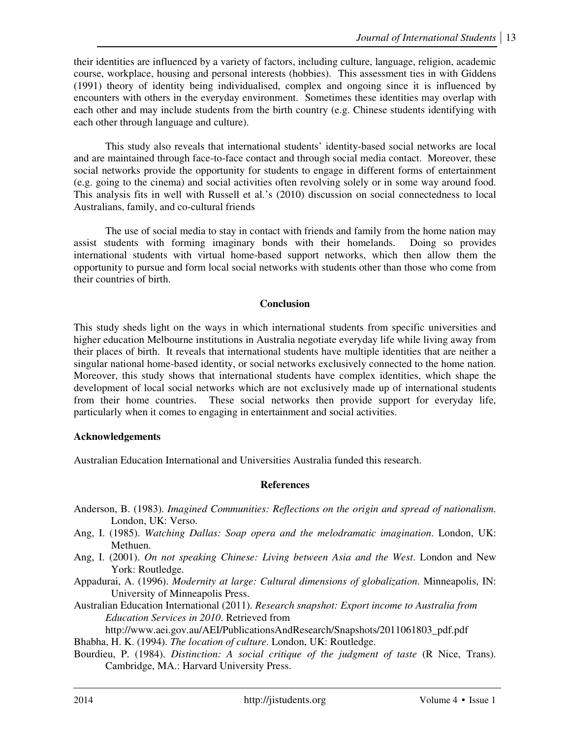their identities are influenced by a variety of factors, including culture, language, religion, academic course, workplace, housing and personal interests (hobbies). This assessment ties in with Giddens (1991) theory of identity being individualised, complex and ongoing since it is influenced by encounters with others in the everyday environment. Sometimes these identities may overlap with each other and may include students from the birth country (e.g. Chinese students identifying with each other through language and culture).

This study also reveals that international students' identity-based social networks are local and are maintained through face-to-face contact and through social media contact. Moreover, these social networks provide the opportunity for students to engage in different forms of entertainment (e.g. going to the cinema) and social activities often revolving solely or in some way around food. This analysis fits in well with Russell et al.'s (2010) discussion on social connectedness to local Australians, family, and co-cultural friends

The use of social media to stay in contact with friends and family from the home nation may assist students with forming imaginary bonds with their homelands. Doing so provides international students with virtual home-based support networks, which then allow them the opportunity to pursue and form local social networks with students other than those who come from their countries of birth.

## **Conclusion**

This study sheds light on the ways in which international students from specific universities and higher education Melbourne institutions in Australia negotiate everyday life while living away from their places of birth. It reveals that international students have multiple identities that are neither a singular national home-based identity, or social networks exclusively connected to the home nation. Moreover, this study shows that international students have complex identities, which shape the development of local social networks which are not exclusively made up of international students from their home countries. These social networks then provide support for everyday life, particularly when it comes to engaging in entertainment and social activities.

## **Acknowledgements**

Australian Education International and Universities Australia funded this research.

# **References**

- Anderson, B. (1983). *Imagined Communities: Reflections on the origin and spread of nationalism*. London, UK: Verso.
- Ang, I. (1985). *Watching Dallas: Soap opera and the melodramatic imagination*. London, UK: Methuen.
- Ang, I. (2001). *On not speaking Chinese: Living between Asia and the West*. London and New York: Routledge.
- Appadurai, A. (1996). *Modernity at large: Cultural dimensions of globalization*. Minneapolis, IN: University of Minneapolis Press.
- Australian Education International (2011). *Research snapshot: Export income to Australia from Education Services in 2010*. Retrieved from

http://www.aei.gov.au/AEI/PublicationsAndResearch/Snapshots/2011061803\_pdf.pdf Bhabha, H. K. (1994). *The location of culture*. London, UK: Routledge.

Bourdieu, P. (1984). *Distinction: A social critique of the judgment of taste* (R Nice, Trans). Cambridge, MA.: Harvard University Press.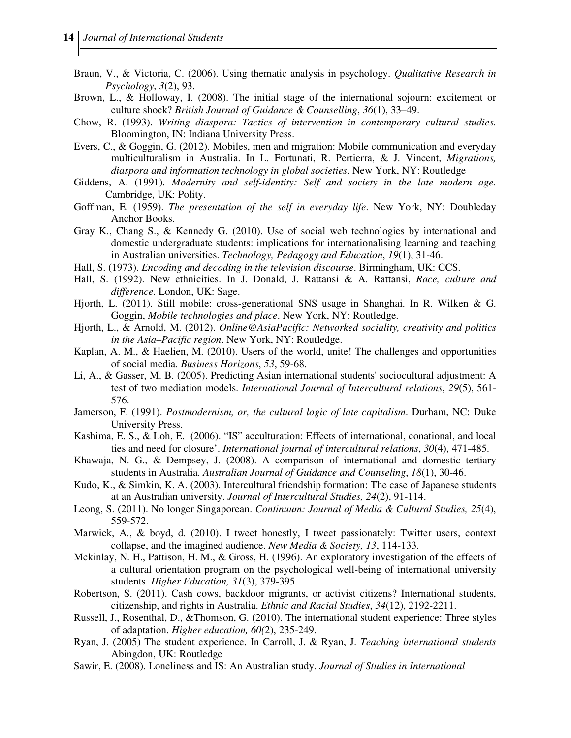- Braun, V., & Victoria, C. (2006). Using thematic analysis in psychology. *Qualitative Research in Psychology*, *3*(2), 93.
- Brown, L., & Holloway, I. (2008). The initial stage of the international sojourn: excitement or culture shock? *British Journal of Guidance & Counselling*, *36*(1), 33–49.
- Chow, R. (1993). *Writing diaspora: Tactics of intervention in contemporary cultural studies*. Bloomington, IN: Indiana University Press.
- Evers, C., & Goggin, G. (2012). Mobiles, men and migration: Mobile communication and everyday multiculturalism in Australia. In L. Fortunati, R. Pertierra, & J. Vincent, *Migrations, diaspora and information technology in global societies*. New York, NY: Routledge
- Giddens, A. (1991). *Modernity and self-identity: Self and society in the late modern age.* Cambridge, UK: Polity.
- Goffman, E. (1959). *The presentation of the self in everyday life*. New York, NY: Doubleday Anchor Books.
- Gray K., Chang S., & Kennedy G. (2010). Use of social web technologies by international and domestic undergraduate students: implications for internationalising learning and teaching in Australian universities. *Technology, Pedagogy and Education*, *19*(1), 31-46.
- Hall, S. (1973). *Encoding and decoding in the television discourse*. Birmingham, UK: CCS.
- Hall, S. (1992). New ethnicities. In J. Donald, J. Rattansi & A. Rattansi, *Race, culture and difference*. London, UK: Sage.
- Hjorth, L. (2011). Still mobile: cross-generational SNS usage in Shanghai. In R. Wilken & G. Goggin, *Mobile technologies and place*. New York, NY: Routledge.
- Hjorth, L., & Arnold, M. (2012). *Online@AsiaPacific: Networked sociality, creativity and politics in the Asia–Pacific region*. New York, NY: Routledge.
- Kaplan, A. M., & Haelien, M. (2010). Users of the world, unite! The challenges and opportunities of social media. *Business Horizons*, *53*, 59-68.
- Li, A., & Gasser, M. B. (2005). Predicting Asian international students' sociocultural adjustment: A test of two mediation models. *International Journal of Intercultural relations*, *29*(5), 561- 576.
- Jamerson, F. (1991). *Postmodernism, or, the cultural logic of late capitalism*. Durham, NC: Duke University Press.
- Kashima, E. S., & Loh, E. (2006). "IS" acculturation: Effects of international, conational, and local ties and need for closure'. *International journal of intercultural relations*, *30*(4), 471-485.
- Khawaja, N. G., & Dempsey, J. (2008). A comparison of international and domestic tertiary students in Australia. *Australian Journal of Guidance and Counseling*, *18*(1), 30-46.
- Kudo, K., & Simkin, K. A. (2003). Intercultural friendship formation: The case of Japanese students at an Australian university. *Journal of Intercultural Studies, 24*(2), 91-114.
- Leong, S. (2011). No longer Singaporean. *Continuum: Journal of Media & Cultural Studies, 25*(4), 559-572.
- Marwick, A., & boyd, d. (2010). I tweet honestly, I tweet passionately: Twitter users, context collapse, and the imagined audience. *New Media & Society, 13*, 114-133.
- Mckinlay, N. H., Pattison, H. M., & Gross, H. (1996). An exploratory investigation of the effects of a cultural orientation program on the psychological well-being of international university students. *Higher Education, 31*(3), 379-395.
- Robertson, S. (2011). Cash cows, backdoor migrants, or activist citizens? International students, citizenship, and rights in Australia. *Ethnic and Racial Studies*, *34*(12), 2192-2211.
- Russell, J., Rosenthal, D., &Thomson, G. (2010). The international student experience: Three styles of adaptation. *Higher education, 60(*2), 235-249.
- Ryan, J. (2005) The student experience, In Carroll, J. & Ryan, J. *Teaching international students*  Abingdon, UK: Routledge
- Sawir, E. (2008). Loneliness and IS: An Australian study. *Journal of Studies in International*